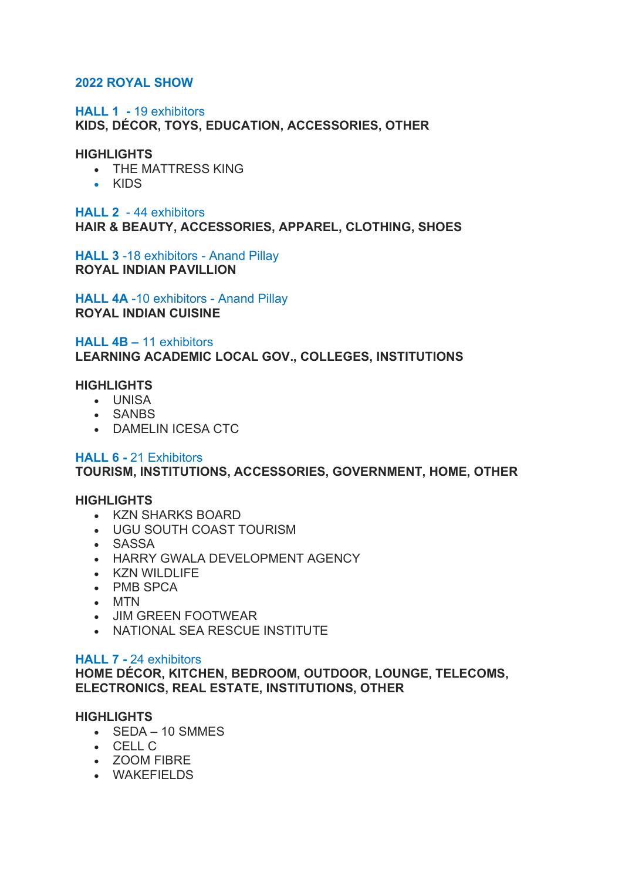# **2022 ROYAL SHOW**

# **HALL 1 -** 19 exhibitors

**KIDS, DÉCOR, TOYS, EDUCATION, ACCESSORIES, OTHER**

# **HIGHLIGHTS**

- THE MATTRESS KING
- KIDS

# **HALL 2** - 44 exhibitors **HAIR & BEAUTY, ACCESSORIES, APPAREL, CLOTHING, SHOES**

**HALL 3** -18 exhibitors - Anand Pillay **ROYAL INDIAN PAVILLION**

**HALL 4A** -10 exhibitors - Anand Pillay **ROYAL INDIAN CUISINE**

**HALL 4B –** 11 exhibitors **LEARNING ACADEMIC LOCAL GOV., COLLEGES, INSTITUTIONS**

# **HIGHLIGHTS**

- UNISA
- SANBS
- DAMELIN ICESA CTC

# **HALL 6 -** 21 Exhibitors

**TOURISM, INSTITUTIONS, ACCESSORIES, GOVERNMENT, HOME, OTHER**

# **HIGHLIGHTS**

- KZN SHARKS BOARD
- UGU SOUTH COAST TOURISM
- SASSA
- HARRY GWALA DEVELOPMENT AGENCY
- KZN WILDLIFE
- PMB SPCA
- MTN
- JIM GREEN FOOTWEAR
- NATIONAL SEA RESCUE INSTITUTE

# **HALL 7 -** 24 exhibitors

**HOME DÉCOR, KITCHEN, BEDROOM, OUTDOOR, LOUNGE, TELECOMS, ELECTRONICS, REAL ESTATE, INSTITUTIONS, OTHER**

# **HIGHLIGHTS**

- SEDA 10 SMMES
- CELL C
- ZOOM FIBRE
- WAKEFIELDS